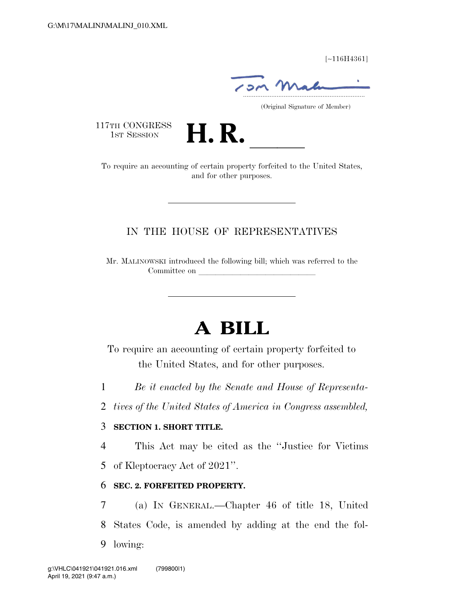[∼116H4361]

.....................................................................

(Original Signature of Member)

117TH CONGRESS<br>1st Session



17TH CONGRESS<br>1st SESSION **H. R.** <u>International Consequire</u> an accounting of certain property forfeited to the United States, and for other purposes.

# IN THE HOUSE OF REPRESENTATIVES

Mr. MALINOWSKI introduced the following bill; which was referred to the Committee on

# **A BILL**

To require an accounting of certain property forfeited to the United States, and for other purposes.

1 *Be it enacted by the Senate and House of Representa-*

2 *tives of the United States of America in Congress assembled,* 

#### 3 **SECTION 1. SHORT TITLE.**

4 This Act may be cited as the ''Justice for Victims

5 of Kleptocracy Act of 2021''.

## 6 **SEC. 2. FORFEITED PROPERTY.**

7 (a) IN GENERAL.—Chapter 46 of title 18, United 8 States Code, is amended by adding at the end the fol-9 lowing: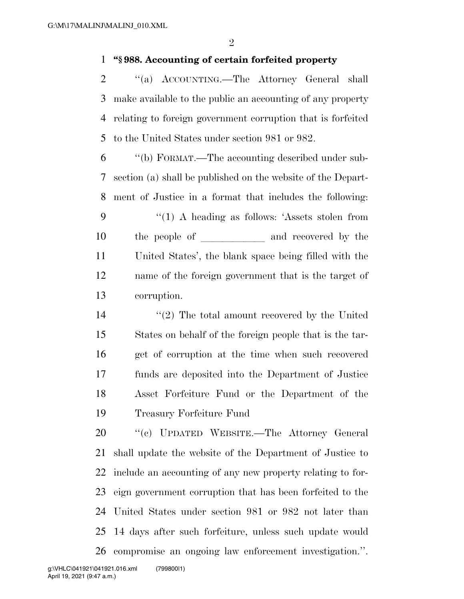## **''§ 988. Accounting of certain forfeited property**

2 "(a) ACCOUNTING.—The Attorney General shall make available to the public an accounting of any property relating to foreign government corruption that is forfeited to the United States under section 981 or 982.

 ''(b) FORMAT.—The accounting described under sub- section (a) shall be published on the website of the Depart- ment of Justice in a format that includes the following: 9 "(1) A heading as follows: 'Assets stolen from 10 the people of and recovered by the United States', the blank space being filled with the name of the foreign government that is the target of corruption.

14 ''(2) The total amount recovered by the United States on behalf of the foreign people that is the tar- get of corruption at the time when such recovered funds are deposited into the Department of Justice Asset Forfeiture Fund or the Department of the Treasury Forfeiture Fund

 ''(c) UPDATED WEBSITE.—The Attorney General shall update the website of the Department of Justice to include an accounting of any new property relating to for- eign government corruption that has been forfeited to the United States under section 981 or 982 not later than 14 days after such forfeiture, unless such update would compromise an ongoing law enforcement investigation.''.